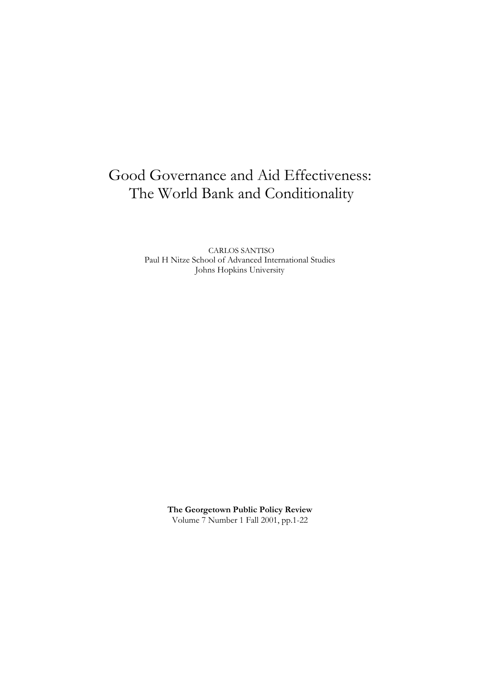# Good Governance and Aid Effectiveness: The World Bank and Conditionality

CARLOS SANTISO Paul H Nitze School of Advanced International Studies Johns Hopkins University

> **The Georgetown Public Policy Review** Volume 7 Number 1 Fall 2001, pp.1-22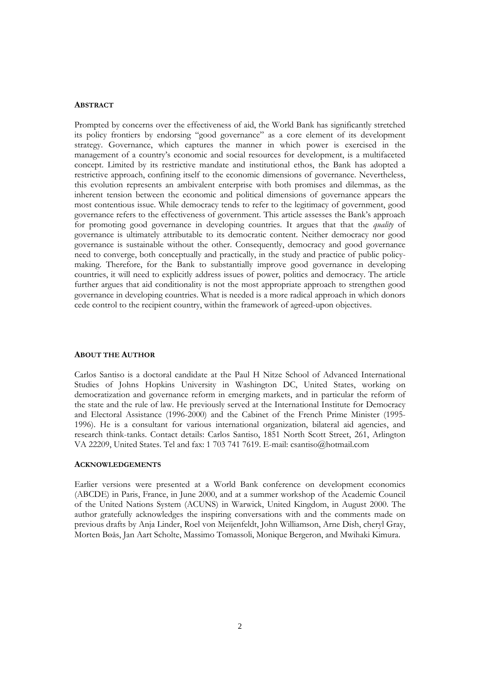## **ABSTRACT**

Prompted by concerns over the effectiveness of aid, the World Bank has significantly stretched its policy frontiers by endorsing "good governance" as a core element of its development strategy. Governance, which captures the manner in which power is exercised in the management of a country's economic and social resources for development, is a multifaceted concept. Limited by its restrictive mandate and institutional ethos, the Bank has adopted a restrictive approach, confining itself to the economic dimensions of governance. Nevertheless, this evolution represents an ambivalent enterprise with both promises and dilemmas, as the inherent tension between the economic and political dimensions of governance appears the most contentious issue. While democracy tends to refer to the legitimacy of government, good governance refers to the effectiveness of government. This article assesses the Bank's approach for promoting good governance in developing countries. It argues that that the *quality* of governance is ultimately attributable to its democratic content. Neither democracy nor good governance is sustainable without the other. Consequently, democracy and good governance need to converge, both conceptually and practically, in the study and practice of public policymaking. Therefore, for the Bank to substantially improve good governance in developing countries, it will need to explicitly address issues of power, politics and democracy. The article further argues that aid conditionality is not the most appropriate approach to strengthen good governance in developing countries. What is needed is a more radical approach in which donors cede control to the recipient country, within the framework of agreed-upon objectives.

#### **ABOUT THE AUTHOR**

Carlos Santiso is a doctoral candidate at the Paul H Nitze School of Advanced International Studies of Johns Hopkins University in Washington DC, United States, working on democratization and governance reform in emerging markets, and in particular the reform of the state and the rule of law. He previously served at the International Institute for Democracy and Electoral Assistance (1996-2000) and the Cabinet of the French Prime Minister (1995- 1996). He is a consultant for various international organization, bilateral aid agencies, and research think-tanks. Contact details: Carlos Santiso, 1851 North Scott Street, 261, Arlington VA 22209, United States. Tel and fax: 1 703 741 7619. E-mail: csantiso@hotmail.com

## **ACKNOWLEDGEMENTS**

Earlier versions were presented at a World Bank conference on development economics (ABCDE) in Paris, France, in June 2000, and at a summer workshop of the Academic Council of the United Nations System (ACUNS) in Warwick, United Kingdom, in August 2000. The author gratefully acknowledges the inspiring conversations with and the comments made on previous drafts by Anja Linder, Roel von Meijenfeldt, John Williamson, Arne Dish, cheryl Gray, Morten Bøås, Jan Aart Scholte, Massimo Tomassoli, Monique Bergeron, and Mwihaki Kimura.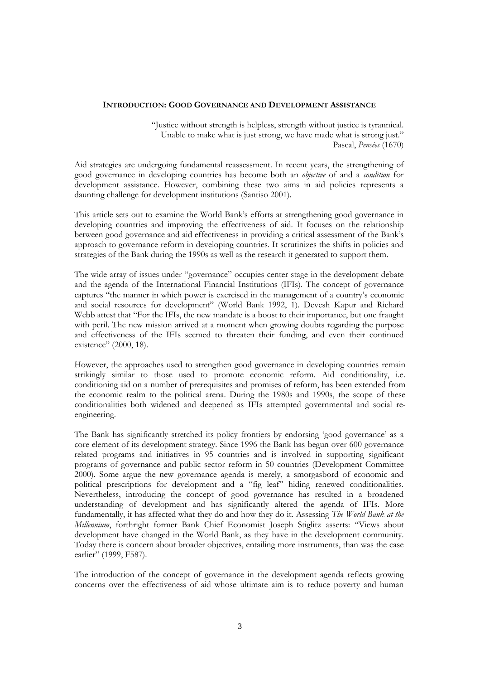## **INTRODUCTION: GOOD GOVERNANCE AND DEVELOPMENT ASSISTANCE**

"Justice without strength is helpless, strength without justice is tyrannical. Unable to make what is just strong, we have made what is strong just." Pascal, *Pensées* (1670)

Aid strategies are undergoing fundamental reassessment. In recent years, the strengthening of good governance in developing countries has become both an *objective* of and a *condition* for development assistance. However, combining these two aims in aid policies represents a daunting challenge for development institutions (Santiso 2001).

This article sets out to examine the World Bank's efforts at strengthening good governance in developing countries and improving the effectiveness of aid. It focuses on the relationship between good governance and aid effectiveness in providing a critical assessment of the Bank's approach to governance reform in developing countries. It scrutinizes the shifts in policies and strategies of the Bank during the 1990s as well as the research it generated to support them.

The wide array of issues under "governance" occupies center stage in the development debate and the agenda of the International Financial Institutions (IFIs). The concept of governance captures "the manner in which power is exercised in the management of a country's economic and social resources for development" (World Bank 1992, 1). Devesh Kapur and Richard Webb attest that "For the IFIs, the new mandate is a boost to their importance, but one fraught with peril. The new mission arrived at a moment when growing doubts regarding the purpose and effectiveness of the IFIs seemed to threaten their funding, and even their continued existence" (2000, 18).

However, the approaches used to strengthen good governance in developing countries remain strikingly similar to those used to promote economic reform. Aid conditionality, i.e. conditioning aid on a number of prerequisites and promises of reform, has been extended from the economic realm to the political arena. During the 1980s and 1990s, the scope of these conditionalities both widened and deepened as IFIs attempted governmental and social reengineering.

The Bank has significantly stretched its policy frontiers by endorsing 'good governance' as a core element of its development strategy. Since 1996 the Bank has begun over 600 governance related programs and initiatives in 95 countries and is involved in supporting significant programs of governance and public sector reform in 50 countries (Development Committee 2000). Some argue the new governance agenda is merely, a smorgasbord of economic and political prescriptions for development and a "fig leaf" hiding renewed conditionalities. Nevertheless, introducing the concept of good governance has resulted in a broadened understanding of development and has significantly altered the agenda of IFIs. More fundamentally, it has affected what they do and how they do it. Assessing *The World Bank at the Millennium*, forthright former Bank Chief Economist Joseph Stiglitz asserts: "Views about development have changed in the World Bank, as they have in the development community. Today there is concern about broader objectives, entailing more instruments, than was the case earlier" (1999, F587).

The introduction of the concept of governance in the development agenda reflects growing concerns over the effectiveness of aid whose ultimate aim is to reduce poverty and human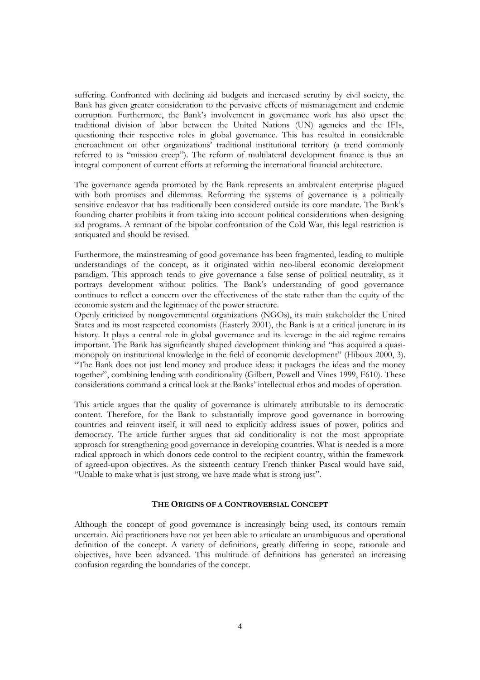suffering. Confronted with declining aid budgets and increased scrutiny by civil society, the Bank has given greater consideration to the pervasive effects of mismanagement and endemic corruption. Furthermore, the Bank's involvement in governance work has also upset the traditional division of labor between the United Nations (UN) agencies and the IFIs, questioning their respective roles in global governance. This has resulted in considerable encroachment on other organizations' traditional institutional territory (a trend commonly referred to as "mission creep"). The reform of multilateral development finance is thus an integral component of current efforts at reforming the international financial architecture.

The governance agenda promoted by the Bank represents an ambivalent enterprise plagued with both promises and dilemmas. Reforming the systems of governance is a politically sensitive endeavor that has traditionally been considered outside its core mandate. The Bank's founding charter prohibits it from taking into account political considerations when designing aid programs. A remnant of the bipolar confrontation of the Cold War, this legal restriction is antiquated and should be revised.

Furthermore, the mainstreaming of good governance has been fragmented, leading to multiple understandings of the concept, as it originated within neo-liberal economic development paradigm. This approach tends to give governance a false sense of political neutrality, as it portrays development without politics. The Bank's understanding of good governance continues to reflect a concern over the effectiveness of the state rather than the equity of the economic system and the legitimacy of the power structure.

Openly criticized by nongovernmental organizations (NGOs), its main stakeholder the United States and its most respected economists (Easterly 2001), the Bank is at a critical juncture in its history. It plays a central role in global governance and its leverage in the aid regime remains important. The Bank has significantly shaped development thinking and "has acquired a quasimonopoly on institutional knowledge in the field of economic development" (Hiboux 2000, 3). "The Bank does not just lend money and produce ideas: it packages the ideas and the money together", combining lending with conditionality (Gilbert, Powell and Vines 1999, F610). These considerations command a critical look at the Banks' intellectual ethos and modes of operation.

This article argues that the quality of governance is ultimately attributable to its democratic content. Therefore, for the Bank to substantially improve good governance in borrowing countries and reinvent itself, it will need to explicitly address issues of power, politics and democracy. The article further argues that aid conditionality is not the most appropriate approach for strengthening good governance in developing countries. What is needed is a more radical approach in which donors cede control to the recipient country, within the framework of agreed-upon objectives. As the sixteenth century French thinker Pascal would have said, "Unable to make what is just strong, we have made what is strong just".

### **THE ORIGINS OF A CONTROVERSIAL CONCEPT**

Although the concept of good governance is increasingly being used, its contours remain uncertain. Aid practitioners have not yet been able to articulate an unambiguous and operational definition of the concept. A variety of definitions, greatly differing in scope, rationale and objectives, have been advanced. This multitude of definitions has generated an increasing confusion regarding the boundaries of the concept.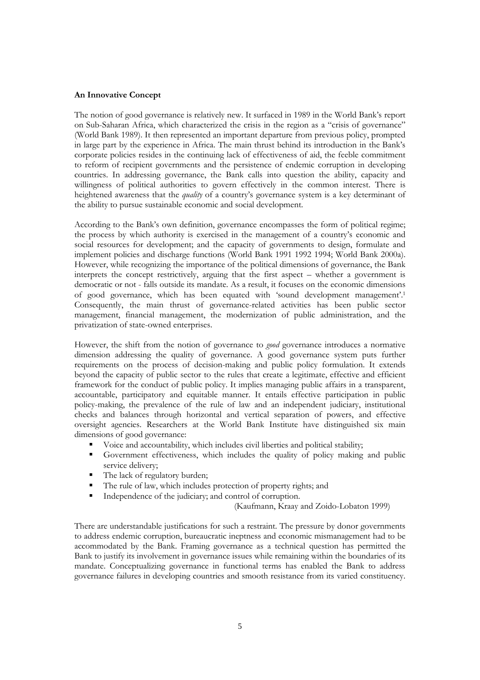## **An Innovative Concept**

The notion of good governance is relatively new. It surfaced in 1989 in the World Bank's report on Sub-Saharan Africa, which characterized the crisis in the region as a "crisis of governance" (World Bank 1989). It then represented an important departure from previous policy, prompted in large part by the experience in Africa. The main thrust behind its introduction in the Bank's corporate policies resides in the continuing lack of effectiveness of aid, the feeble commitment to reform of recipient governments and the persistence of endemic corruption in developing countries. In addressing governance, the Bank calls into question the ability, capacity and willingness of political authorities to govern effectively in the common interest. There is heightened awareness that the *quality* of a country's governance system is a key determinant of the ability to pursue sustainable economic and social development.

According to the Bank's own definition, governance encompasses the form of political regime; the process by which authority is exercised in the management of a country's economic and social resources for development; and the capacity of governments to design, formulate and implement policies and discharge functions (World Bank 1991 1992 1994; World Bank 2000a). However, while recognizing the importance of the political dimensions of governance, the Bank interprets the concept restrictively, arguing that the first aspect – whether a government is democratic or not - falls outside its mandate. As a result, it focuses on the economic dimensions of good governance, which has been equated with 'sound development management'.1 Consequently, the main thrust of governance-related activities has been public sector management, financial management, the modernization of public administration, and the privatization of state-owned enterprises.

However, the shift from the notion of governance to *good* governance introduces a normative dimension addressing the quality of governance. A good governance system puts further requirements on the process of decision-making and public policy formulation. It extends beyond the capacity of public sector to the rules that create a legitimate, effective and efficient framework for the conduct of public policy. It implies managing public affairs in a transparent, accountable, participatory and equitable manner. It entails effective participation in public policy-making, the prevalence of the rule of law and an independent judiciary, institutional checks and balances through horizontal and vertical separation of powers, and effective oversight agencies. Researchers at the World Bank Institute have distinguished six main dimensions of good governance:

- ! Voice and accountability, which includes civil liberties and political stability;
- ! Government effectiveness, which includes the quality of policy making and public service delivery;
- The lack of regulatory burden;
- The rule of law, which includes protection of property rights; and
- Independence of the judiciary; and control of corruption.

(Kaufmann, Kraay and Zoido-Lobaton 1999)

There are understandable justifications for such a restraint. The pressure by donor governments to address endemic corruption, bureaucratic ineptness and economic mismanagement had to be accommodated by the Bank. Framing governance as a technical question has permitted the Bank to justify its involvement in governance issues while remaining within the boundaries of its mandate. Conceptualizing governance in functional terms has enabled the Bank to address governance failures in developing countries and smooth resistance from its varied constituency.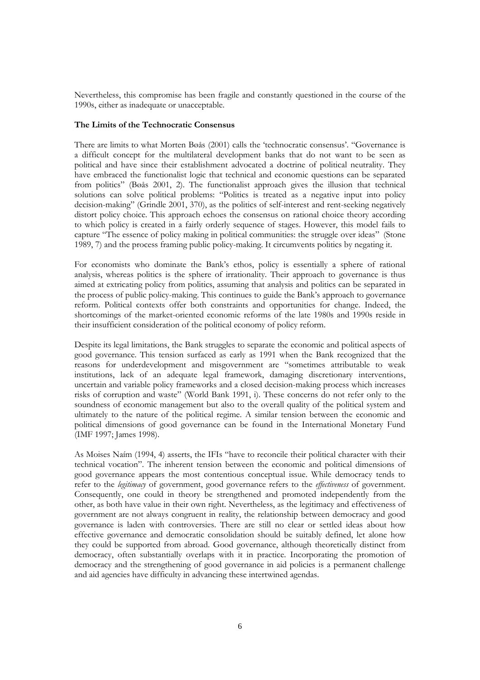Nevertheless, this compromise has been fragile and constantly questioned in the course of the 1990s, either as inadequate or unacceptable.

## **The Limits of the Technocratic Consensus**

There are limits to what Morten Bøås (2001) calls the 'technocratic consensus'. "Governance is a difficult concept for the multilateral development banks that do not want to be seen as political and have since their establishment advocated a doctrine of political neutrality. They have embraced the functionalist logic that technical and economic questions can be separated from politics" (Bøås 2001, 2). The functionalist approach gives the illusion that technical solutions can solve political problems: "Politics is treated as a negative input into policy decision-making" (Grindle 2001, 370), as the politics of self-interest and rent-seeking negatively distort policy choice. This approach echoes the consensus on rational choice theory according to which policy is created in a fairly orderly sequence of stages. However, this model fails to capture "The essence of policy making in political communities: the struggle over ideas" (Stone 1989, 7) and the process framing public policy-making. It circumvents politics by negating it.

For economists who dominate the Bank's ethos, policy is essentially a sphere of rational analysis, whereas politics is the sphere of irrationality. Their approach to governance is thus aimed at extricating policy from politics, assuming that analysis and politics can be separated in the process of public policy-making. This continues to guide the Bank's approach to governance reform. Political contexts offer both constraints and opportunities for change. Indeed, the shortcomings of the market-oriented economic reforms of the late 1980s and 1990s reside in their insufficient consideration of the political economy of policy reform.

Despite its legal limitations, the Bank struggles to separate the economic and political aspects of good governance. This tension surfaced as early as 1991 when the Bank recognized that the reasons for underdevelopment and misgovernment are "sometimes attributable to weak institutions, lack of an adequate legal framework, damaging discretionary interventions, uncertain and variable policy frameworks and a closed decision-making process which increases risks of corruption and waste" (World Bank 1991, i). These concerns do not refer only to the soundness of economic management but also to the overall quality of the political system and ultimately to the nature of the political regime. A similar tension between the economic and political dimensions of good governance can be found in the International Monetary Fund (IMF 1997; James 1998).

As Moises Naím (1994, 4) asserts, the IFIs "have to reconcile their political character with their technical vocation". The inherent tension between the economic and political dimensions of good governance appears the most contentious conceptual issue. While democracy tends to refer to the *legitimacy* of government, good governance refers to the *effectiveness* of government. Consequently, one could in theory be strengthened and promoted independently from the other, as both have value in their own right. Nevertheless, as the legitimacy and effectiveness of government are not always congruent in reality, the relationship between democracy and good governance is laden with controversies. There are still no clear or settled ideas about how effective governance and democratic consolidation should be suitably defined, let alone how they could be supported from abroad. Good governance, although theoretically distinct from democracy, often substantially overlaps with it in practice. Incorporating the promotion of democracy and the strengthening of good governance in aid policies is a permanent challenge and aid agencies have difficulty in advancing these intertwined agendas.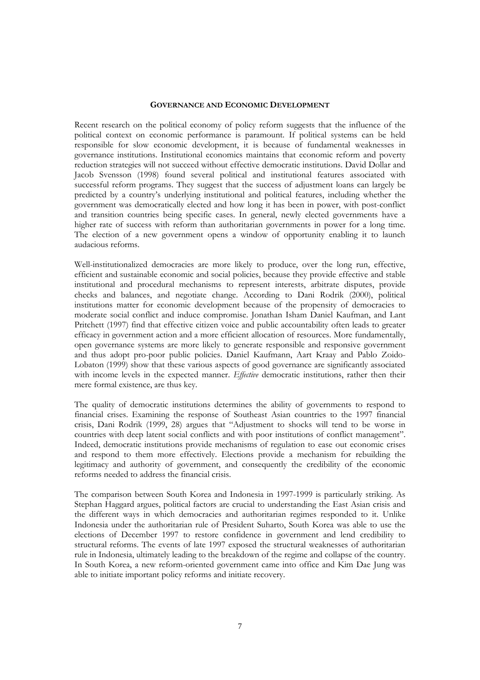## **GOVERNANCE AND ECONOMIC DEVELOPMENT**

Recent research on the political economy of policy reform suggests that the influence of the political context on economic performance is paramount. If political systems can be held responsible for slow economic development, it is because of fundamental weaknesses in governance institutions. Institutional economics maintains that economic reform and poverty reduction strategies will not succeed without effective democratic institutions. David Dollar and Jacob Svensson (1998) found several political and institutional features associated with successful reform programs. They suggest that the success of adjustment loans can largely be predicted by a country's underlying institutional and political features, including whether the government was democratically elected and how long it has been in power, with post-conflict and transition countries being specific cases. In general, newly elected governments have a higher rate of success with reform than authoritarian governments in power for a long time. The election of a new government opens a window of opportunity enabling it to launch audacious reforms.

Well-institutionalized democracies are more likely to produce, over the long run, effective, efficient and sustainable economic and social policies, because they provide effective and stable institutional and procedural mechanisms to represent interests, arbitrate disputes, provide checks and balances, and negotiate change. According to Dani Rodrik (2000), political institutions matter for economic development because of the propensity of democracies to moderate social conflict and induce compromise. Jonathan Isham Daniel Kaufman, and Lant Pritchett (1997) find that effective citizen voice and public accountability often leads to greater efficacy in government action and a more efficient allocation of resources. More fundamentally, open governance systems are more likely to generate responsible and responsive government and thus adopt pro-poor public policies. Daniel Kaufmann, Aart Kraay and Pablo Zoido-Lobaton (1999) show that these various aspects of good governance are significantly associated with income levels in the expected manner. *Effective* democratic institutions, rather then their mere formal existence, are thus key.

The quality of democratic institutions determines the ability of governments to respond to financial crises. Examining the response of Southeast Asian countries to the 1997 financial crisis, Dani Rodrik (1999, 28) argues that "Adjustment to shocks will tend to be worse in countries with deep latent social conflicts and with poor institutions of conflict management". Indeed, democratic institutions provide mechanisms of regulation to ease out economic crises and respond to them more effectively. Elections provide a mechanism for rebuilding the legitimacy and authority of government, and consequently the credibility of the economic reforms needed to address the financial crisis.

The comparison between South Korea and Indonesia in 1997-1999 is particularly striking. As Stephan Haggard argues, political factors are crucial to understanding the East Asian crisis and the different ways in which democracies and authoritarian regimes responded to it. Unlike Indonesia under the authoritarian rule of President Suharto, South Korea was able to use the elections of December 1997 to restore confidence in government and lend credibility to structural reforms. The events of late 1997 exposed the structural weaknesses of authoritarian rule in Indonesia, ultimately leading to the breakdown of the regime and collapse of the country. In South Korea, a new reform-oriented government came into office and Kim Dae Jung was able to initiate important policy reforms and initiate recovery.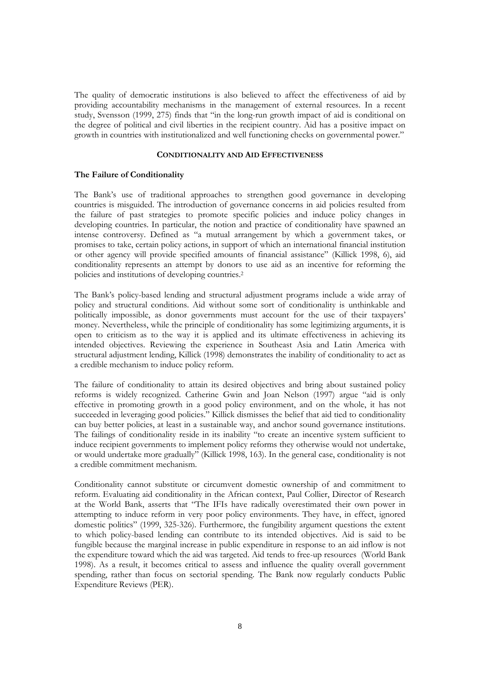The quality of democratic institutions is also believed to affect the effectiveness of aid by providing accountability mechanisms in the management of external resources. In a recent study, Svensson (1999, 275) finds that "in the long-run growth impact of aid is conditional on the degree of political and civil liberties in the recipient country. Aid has a positive impact on growth in countries with institutionalized and well functioning checks on governmental power."

## **CONDITIONALITY AND AID EFFECTIVENESS**

## **The Failure of Conditionality**

The Bank's use of traditional approaches to strengthen good governance in developing countries is misguided. The introduction of governance concerns in aid policies resulted from the failure of past strategies to promote specific policies and induce policy changes in developing countries. In particular, the notion and practice of conditionality have spawned an intense controversy. Defined as "a mutual arrangement by which a government takes, or promises to take, certain policy actions, in support of which an international financial institution or other agency will provide specified amounts of financial assistance" (Killick 1998, 6), aid conditionality represents an attempt by donors to use aid as an incentive for reforming the policies and institutions of developing countries.2

The Bank's policy-based lending and structural adjustment programs include a wide array of policy and structural conditions. Aid without some sort of conditionality is unthinkable and politically impossible, as donor governments must account for the use of their taxpayers' money. Nevertheless, while the principle of conditionality has some legitimizing arguments, it is open to criticism as to the way it is applied and its ultimate effectiveness in achieving its intended objectives. Reviewing the experience in Southeast Asia and Latin America with structural adjustment lending, Killick (1998) demonstrates the inability of conditionality to act as a credible mechanism to induce policy reform.

The failure of conditionality to attain its desired objectives and bring about sustained policy reforms is widely recognized. Catherine Gwin and Joan Nelson (1997) argue "aid is only effective in promoting growth in a good policy environment, and on the whole, it has not succeeded in leveraging good policies." Killick dismisses the belief that aid tied to conditionality can buy better policies, at least in a sustainable way, and anchor sound governance institutions. The failings of conditionality reside in its inability "to create an incentive system sufficient to induce recipient governments to implement policy reforms they otherwise would not undertake, or would undertake more gradually" (Killick 1998, 163). In the general case, conditionality is not a credible commitment mechanism.

Conditionality cannot substitute or circumvent domestic ownership of and commitment to reform. Evaluating aid conditionality in the African context, Paul Collier, Director of Research at the World Bank, asserts that "The IFIs have radically overestimated their own power in attempting to induce reform in very poor policy environments. They have, in effect, ignored domestic politics" (1999, 325-326). Furthermore, the fungibility argument questions the extent to which policy-based lending can contribute to its intended objectives. Aid is said to be fungible because the marginal increase in public expenditure in response to an aid inflow is not the expenditure toward which the aid was targeted. Aid tends to free-up resources (World Bank 1998). As a result, it becomes critical to assess and influence the quality overall government spending, rather than focus on sectorial spending. The Bank now regularly conducts Public Expenditure Reviews (PER).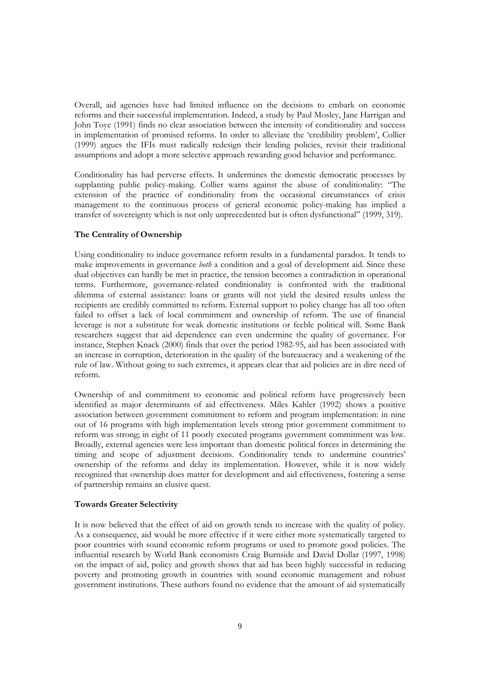Overall, aid agencies have had limited influence on the decisions to embark on economic reforms and their successful implementation. Indeed, a study by Paul Mosley, Jane Harrigan and John Toye (1991) finds no clear association between the intensity of conditionality and success in implementation of promised reforms. In order to alleviate the 'credibility problem', Collier (1999) argues the IFIs must radically redesign their lending policies, revisit their traditional assumptions and adopt a more selective approach rewarding good behavior and performance.

Conditionality has had perverse effects. It undermines the domestic democratic processes by supplanting public policy-making. Collier warns against the abuse of conditionality: "The extension of the practice of conditionality from the occasional circumstances of crisis management to the continuous process of general economic policy-making has implied a transfer of sovereignty which is not only unprecedented but is often dysfunctional" (1999, 319).

## **The Centrality of Ownership**

Using conditionality to induce governance reform results in a fundamental paradox. It tends to make improvements in governance *both* a condition and a goal of development aid. Since these dual objectives can hardly be met in practice, the tension becomes a contradiction in operational terms. Furthermore, governance-related conditionality is confronted with the traditional dilemma of external assistance: loans or grants will not yield the desired results unless the recipients are credibly committed to reform. External support to policy change has all too often failed to offset a lack of local commitment and ownership of reform. The use of financial leverage is not a substitute for weak domestic institutions or feeble political will. Some Bank researchers suggest that aid dependence can even undermine the quality of governance. For instance, Stephen Knack (2000) finds that over the period 1982-95, aid has been associated with an increase in corruption, deterioration in the quality of the bureaucracy and a weakening of the rule of law. Without going to such extremes, it appears clear that aid policies are in dire need of reform.

Ownership of and commitment to economic and political reform have progressively been identified as major determinants of aid effectiveness. Miles Kahler (1992) shows a positive association between government commitment to reform and program implementation: in nine out of 16 programs with high implementation levels strong prior government commitment to reform was strong; in eight of 11 poorly executed programs government commitment was low. Broadly, external agencies were less important than domestic political forces in determining the timing and scope of adjustment decisions. Conditionality tends to undermine countries' ownership of the reforms and delay its implementation. However, while it is now widely recognized that ownership does matter for development and aid effectiveness, fostering a sense of partnership remains an elusive quest.

## **Towards Greater Selectivity**

It is now believed that the effect of aid on growth tends to increase with the quality of policy. As a consequence, aid would be more effective if it were either more systematically targeted to poor countries with sound economic reform programs or used to promote good policies. The influential research by World Bank economists Craig Burnside and David Dollar (1997, 1998) on the impact of aid, policy and growth shows that aid has been highly successful in reducing poverty and promoting growth in countries with sound economic management and robust government institutions. These authors found no evidence that the amount of aid systematically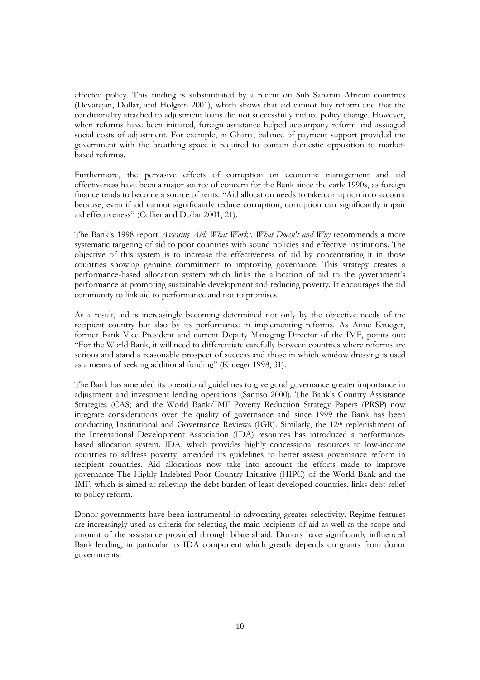affected policy. This finding is substantiated by a recent on Sub Saharan African countries (Devarajan, Dollar, and Holgren 2001), which shows that aid cannot buy reform and that the conditionality attached to adjustment loans did not successfully induce policy change. However, when reforms have been initiated, foreign assistance helped accompany reform and assuaged social costs of adjustment. For example, in Ghana, balance of payment support provided the government with the breathing space it required to contain domestic opposition to marketbased reforms.

Furthermore, the pervasive effects of corruption on economic management and aid effectiveness have been a major source of concern for the Bank since the early 1990s, as foreign finance tends to become a source of rents. "Aid allocation needs to take corruption into account because, even if aid cannot significantly reduce corruption, corruption can significantly impair aid effectiveness" (Collier and Dollar 2001, 21).

The Bank's 1998 report *Assessing Aid: What Works, What Doesn't and Why* recommends a more systematic targeting of aid to poor countries with sound policies and effective institutions. The objective of this system is to increase the effectiveness of aid by concentrating it in those countries showing genuine commitment to improving governance. This strategy creates a performance-based allocation system which links the allocation of aid to the government's performance at promoting sustainable development and reducing poverty. It encourages the aid community to link aid to performance and not to promises.

As a result, aid is increasingly becoming determined not only by the objective needs of the recipient country but also by its performance in implementing reforms. As Anne Krueger, former Bank Vice President and current Deputy Managing Director of the IMF, points out: "For the World Bank, it will need to differentiate carefully between countries where reforms are serious and stand a reasonable prospect of success and those in which window dressing is used as a means of seeking additional funding" (Krueger 1998, 31).

The Bank has amended its operational guidelines to give good governance greater importance in adjustment and investment lending operations (Santiso 2000). The Bank's Country Assistance Strategies (CAS) and the World Bank/IMF Poverty Reduction Strategy Papers (PRSP) now integrate considerations over the quality of governance and since 1999 the Bank has been conducting Institutional and Governance Reviews (IGR). Similarly, the  $12<sup>th</sup>$  replenishment of the International Development Association (IDA) resources has introduced a performancebased allocation system. IDA, which provides highly concessional resources to low-income countries to address poverty, amended its guidelines to better assess governance reform in recipient countries. Aid allocations now take into account the efforts made to improve governance The Highly Indebted Poor Country Initiative (HIPC) of the World Bank and the IMF, which is aimed at relieving the debt burden of least developed countries, links debt relief to policy reform.

Donor governments have been instrumental in advocating greater selectivity. Regime features are increasingly used as criteria for selecting the main recipients of aid as well as the scope and amount of the assistance provided through bilateral aid. Donors have significantly influenced Bank lending, in particular its IDA component which greatly depends on grants from donor governments.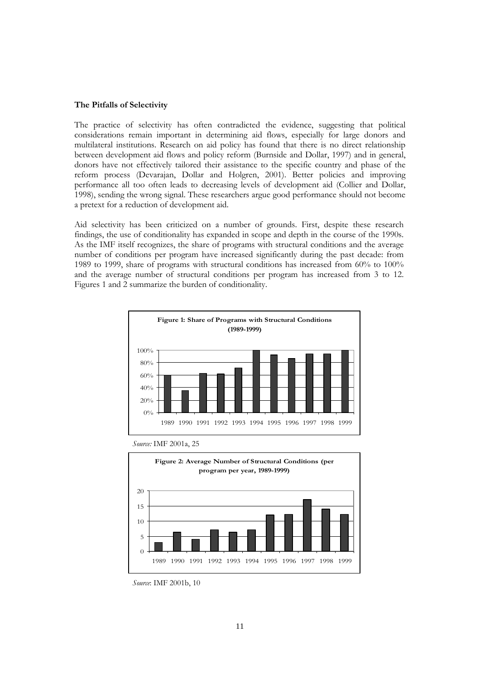## **The Pitfalls of Selectivity**

The practice of selectivity has often contradicted the evidence, suggesting that political considerations remain important in determining aid flows, especially for large donors and multilateral institutions. Research on aid policy has found that there is no direct relationship between development aid flows and policy reform (Burnside and Dollar, 1997) and in general, donors have not effectively tailored their assistance to the specific country and phase of the reform process (Devarajan, Dollar and Holgren, 2001). Better policies and improving performance all too often leads to decreasing levels of development aid (Collier and Dollar, 1998), sending the wrong signal. These researchers argue good performance should not become a pretext for a reduction of development aid.

Aid selectivity has been criticized on a number of grounds. First, despite these research findings, the use of conditionality has expanded in scope and depth in the course of the 1990s. As the IMF itself recognizes, the share of programs with structural conditions and the average number of conditions per program have increased significantly during the past decade: from 1989 to 1999, share of programs with structural conditions has increased from 60% to 100% and the average number of structural conditions per program has increased from 3 to 12. Figures 1 and 2 summarize the burden of conditionality.



*Source:* IMF 2001a, 25



*Source*: IMF 2001b, 10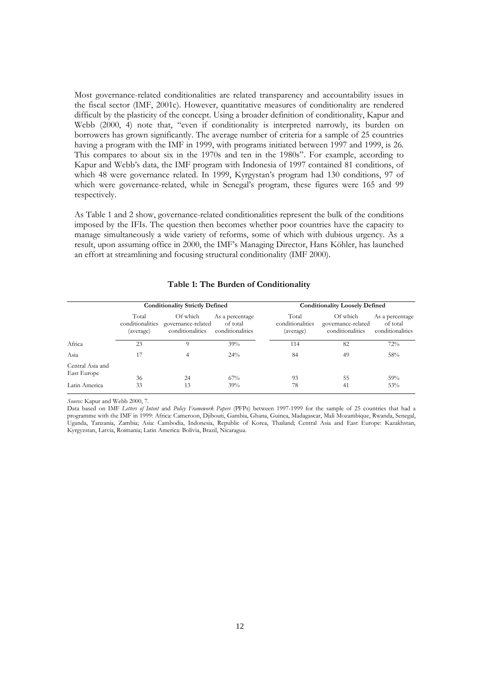Most governance-related conditionalities are related transparency and accountability issues in the fiscal sector (IMF, 2001c). However, quantitative measures of conditionality are rendered difficult by the plasticity of the concept. Using a broader definition of conditionality, Kapur and Webb (2000, 4) note that, "even if conditionality is interpreted narrowly, its burden on borrowers has grown significantly. The average number of criteria for a sample of 25 countries having a program with the IMF in 1999, with programs initiated between 1997 and 1999, is 26. This compares to about six in the 1970s and ten in the 1980s". For example, according to Kapur and Webb's data, the IMF program with Indonesia of 1997 contained 81 conditions, of which 48 were governance related. In 1999, Kyrgystan's program had 130 conditions, 97 of which were governance-related, while in Senegal's program, these figures were 165 and 99 respectively.

As Table 1 and 2 show, governance-related conditionalities represent the bulk of the conditions imposed by the IFIs. The question then becomes whether poor countries have the capacity to manage simultaneously a wide variety of reforms, some of which with dubious urgency. As a result, upon assuming office in 2000, the IMF's Managing Director, Hans Köhler, has launched an effort at streamlining and focusing structural conditionality (IMF 2000).

|                                 |                                        | <b>Conditionality Strictly Defined</b>             |                                                 | <b>Conditionality Loosely Defined</b>  |                                                    |                                                 |  |
|---------------------------------|----------------------------------------|----------------------------------------------------|-------------------------------------------------|----------------------------------------|----------------------------------------------------|-------------------------------------------------|--|
|                                 | Total<br>conditionalities<br>(average) | Of which<br>governance-related<br>conditionalities | As a percentage<br>of total<br>conditionalities | Total<br>conditionalities<br>(average) | Of which<br>governance-related<br>conditionalities | As a percentage<br>of total<br>conditionalities |  |
| Africa                          | 23                                     | 9                                                  | 39%                                             | 114                                    | 82                                                 | 72%                                             |  |
| Asia                            | 17                                     | 4                                                  | 24%                                             | 84                                     | 49                                                 | 58%                                             |  |
| Central Asia and<br>East Europe | 36                                     | 24                                                 | 67%                                             | 93                                     | 55                                                 | 59%                                             |  |
| Latin America                   | 33                                     | 13                                                 | 39%                                             | 78                                     | 41                                                 | 53%                                             |  |

#### **Table 1: The Burden of Conditionality**

*Source:* Kapur and Webb 2000, 7.

Data based on IMF *Letters of Intent* and *Policy Framework Papers* (PFPs) between 1997-1999 for the sample of 25 countries that had a programme with the IMF in 1999: Africa: Cameroon, Djibouti, Gambia, Ghana, Guinea, Madagascar, Mali Mozambique, Rwanda, Senegal, Uganda, Tanzania, Zambia; Asia: Cambodia, Indonesia, Republic of Korea, Thailand; Central Asia and East Europe: Kazakhstan, Kyrgyzstan, Latvia, Roimania; Latin America: Bolivia, Brazil, Nicaragua.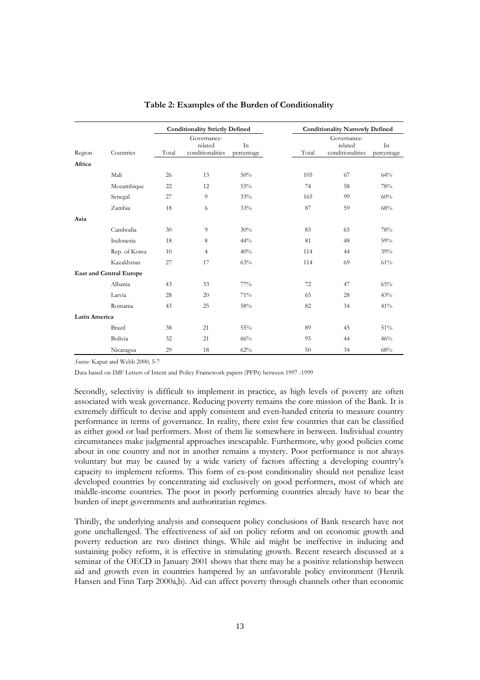|                     |                                | <b>Conditionality Strictly Defined</b>              |                |                  | <b>Conditionality Narrowly Defined</b> |                                            |                  |
|---------------------|--------------------------------|-----------------------------------------------------|----------------|------------------|----------------------------------------|--------------------------------------------|------------------|
| Region<br>Countries |                                | Governance-<br>related<br>Total<br>conditionalities |                | In<br>percentage | Total                                  | Governance-<br>related<br>conditionalities | In<br>percentage |
| Africa              |                                |                                                     |                |                  |                                        |                                            |                  |
|                     | Mali                           | 26                                                  | 13             | 50%              | 105                                    | 67                                         | 64%              |
|                     | Mozambique                     | 22                                                  | 12             | 55%              | 74                                     | 58                                         | 78%              |
|                     | Senegal                        | 27                                                  | 9              | 33%              | 165                                    | 99                                         | 60%              |
|                     | Zambia                         | 18                                                  | 6              | 33%              | 87                                     | 59                                         | 68%              |
| Asia                |                                |                                                     |                |                  |                                        |                                            |                  |
|                     | Cambodia                       | 30                                                  | 9              | 30%              | 83                                     | 65                                         | 78%              |
|                     | Indonesia                      | 18                                                  | 8              | 44%              | 81                                     | 48                                         | 59%              |
|                     | Rep. of Korea                  | 10                                                  | $\overline{4}$ | 40%              | 114                                    | 44                                         | 39%              |
|                     | Kazakhstan                     | 27                                                  | 17             | 63%              | 114                                    | 69                                         | 61%              |
|                     | <b>East and Central Europe</b> |                                                     |                |                  |                                        |                                            |                  |
|                     | Albania                        | 43                                                  | 33             | $77\%$           | 72                                     | 47                                         | 65%              |
|                     | Latvia                         | 28                                                  | 20             | 71%              | 65                                     | 28                                         | 43%              |
|                     | Romania                        | 43                                                  | 25             | 58%              | 82                                     | 34                                         | 41%              |
| Latin America       |                                |                                                     |                |                  |                                        |                                            |                  |
|                     | Brazil                         | 38                                                  | 21             | 55%              | 89                                     | 45                                         | 51%              |
|                     | Bolivia                        | 32                                                  | 21             | 66%              | 95                                     | 44                                         | 46%              |
|                     | Nicaragua                      | 29                                                  | 18             | 62%              | 50                                     | 34                                         | 68%              |

## **Table 2: Examples of the Burden of Conditionality**

*Source:* Kapur and Webb 2000, 5-7

Data based on IMF Letters of Intent and Policy Framework papers (PFPs) between 1997 -1999

Secondly, selectivity is difficult to implement in practice, as high levels of poverty are often associated with weak governance. Reducing poverty remains the core mission of the Bank. It is extremely difficult to devise and apply consistent and even-handed criteria to measure country performance in terms of governance. In reality, there exist few countries that can be classified as either good or bad performers. Most of them lie somewhere in between. Individual country circumstances make judgmental approaches inescapable. Furthermore, why good policies come about in one country and not in another remains a mystery. Poor performance is not always voluntary but may be caused by a wide variety of factors affecting a developing country's capacity to implement reforms. This form of ex-post conditionality should not penalize least developed countries by concentrating aid exclusively on good performers, most of which are middle-income countries. The poor in poorly performing countries already have to bear the burden of inept governments and authoritarian regimes.

Thirdly, the underlying analysis and consequent policy conclusions of Bank research have not gone unchallenged. The effectiveness of aid on policy reform and on economic growth and poverty reduction are two distinct things. While aid might be ineffective in inducing and sustaining policy reform, it is effective in stimulating growth. Recent research discussed at a seminar of the OECD in January 2001 shows that there may be a positive relationship between aid and growth even in countries hampered by an unfavorable policy environment (Henrik Hansen and Finn Tarp 2000a,b). Aid can affect poverty through channels other than economic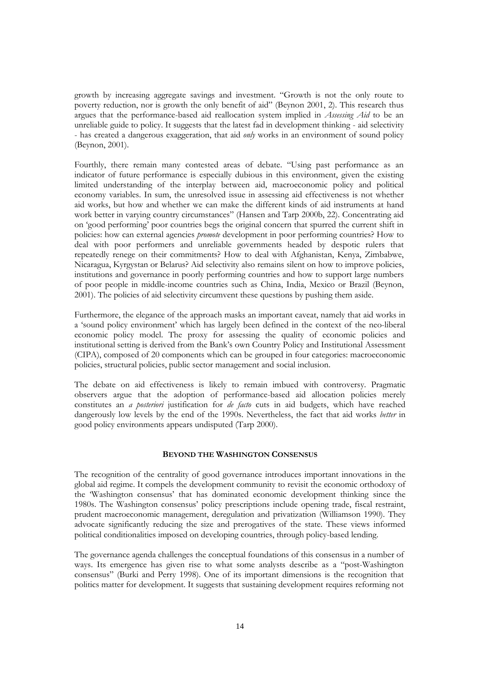growth by increasing aggregate savings and investment. "Growth is not the only route to poverty reduction, nor is growth the only benefit of aid" (Beynon 2001, 2). This research thus argues that the performance-based aid reallocation system implied in *Assessing Aid* to be an unreliable guide to policy. It suggests that the latest fad in development thinking - aid selectivity - has created a dangerous exaggeration, that aid *only* works in an environment of sound policy (Beynon, 2001).

Fourthly, there remain many contested areas of debate. "Using past performance as an indicator of future performance is especially dubious in this environment, given the existing limited understanding of the interplay between aid, macroeconomic policy and political economy variables. In sum, the unresolved issue in assessing aid effectiveness is not whether aid works, but how and whether we can make the different kinds of aid instruments at hand work better in varying country circumstances" (Hansen and Tarp 2000b, 22). Concentrating aid on 'good performing' poor countries begs the original concern that spurred the current shift in policies: how can external agencies *promote* development in poor performing countries? How to deal with poor performers and unreliable governments headed by despotic rulers that repeatedly renege on their commitments? How to deal with Afghanistan, Kenya, Zimbabwe, Nicaragua, Kyrgystan or Belarus? Aid selectivity also remains silent on how to improve policies, institutions and governance in poorly performing countries and how to support large numbers of poor people in middle-income countries such as China, India, Mexico or Brazil (Beynon, 2001). The policies of aid selectivity circumvent these questions by pushing them aside.

Furthermore, the elegance of the approach masks an important caveat, namely that aid works in a 'sound policy environment' which has largely been defined in the context of the neo-liberal economic policy model. The proxy for assessing the quality of economic policies and institutional setting is derived from the Bank's own Country Policy and Institutional Assessment (CIPA), composed of 20 components which can be grouped in four categories: macroeconomic policies, structural policies, public sector management and social inclusion.

The debate on aid effectiveness is likely to remain imbued with controversy. Pragmatic observers argue that the adoption of performance-based aid allocation policies merely constitutes an *a posteriori* justification for *de facto* cuts in aid budgets, which have reached dangerously low levels by the end of the 1990s. Nevertheless, the fact that aid works *better* in good policy environments appears undisputed (Tarp 2000).

## **BEYOND THE WASHINGTON CONSENSUS**

The recognition of the centrality of good governance introduces important innovations in the global aid regime. It compels the development community to revisit the economic orthodoxy of the 'Washington consensus' that has dominated economic development thinking since the 1980s. The Washington consensus' policy prescriptions include opening trade, fiscal restraint, prudent macroeconomic management, deregulation and privatization (Williamson 1990). They advocate significantly reducing the size and prerogatives of the state. These views informed political conditionalities imposed on developing countries, through policy-based lending.

The governance agenda challenges the conceptual foundations of this consensus in a number of ways. Its emergence has given rise to what some analysts describe as a "post-Washington consensus" (Burki and Perry 1998). One of its important dimensions is the recognition that politics matter for development. It suggests that sustaining development requires reforming not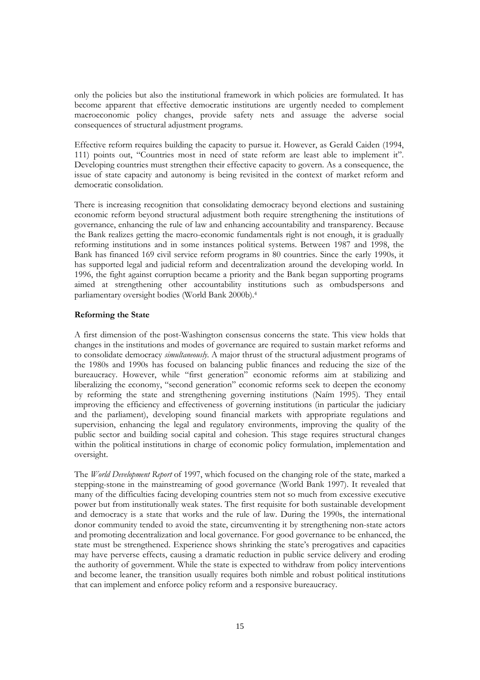only the policies but also the institutional framework in which policies are formulated. It has become apparent that effective democratic institutions are urgently needed to complement macroeconomic policy changes, provide safety nets and assuage the adverse social consequences of structural adjustment programs.

Effective reform requires building the capacity to pursue it. However, as Gerald Caiden (1994, 111) points out, "Countries most in need of state reform are least able to implement it". Developing countries must strengthen their effective capacity to govern. As a consequence, the issue of state capacity and autonomy is being revisited in the context of market reform and democratic consolidation.

There is increasing recognition that consolidating democracy beyond elections and sustaining economic reform beyond structural adjustment both require strengthening the institutions of governance, enhancing the rule of law and enhancing accountability and transparency. Because the Bank realizes getting the macro-economic fundamentals right is not enough, it is gradually reforming institutions and in some instances political systems. Between 1987 and 1998, the Bank has financed 169 civil service reform programs in 80 countries. Since the early 1990s, it has supported legal and judicial reform and decentralization around the developing world. In 1996, the fight against corruption became a priority and the Bank began supporting programs aimed at strengthening other accountability institutions such as ombudspersons and parliamentary oversight bodies (World Bank 2000b).4

## **Reforming the State**

A first dimension of the post-Washington consensus concerns the state. This view holds that changes in the institutions and modes of governance are required to sustain market reforms and to consolidate democracy *simultaneously*. A major thrust of the structural adjustment programs of the 1980s and 1990s has focused on balancing public finances and reducing the size of the bureaucracy. However, while "first generation" economic reforms aim at stabilizing and liberalizing the economy, "second generation" economic reforms seek to deepen the economy by reforming the state and strengthening governing institutions (Naím 1995). They entail improving the efficiency and effectiveness of governing institutions (in particular the judiciary and the parliament), developing sound financial markets with appropriate regulations and supervision, enhancing the legal and regulatory environments, improving the quality of the public sector and building social capital and cohesion. This stage requires structural changes within the political institutions in charge of economic policy formulation, implementation and oversight.

The *World Development Report* of 1997, which focused on the changing role of the state, marked a stepping-stone in the mainstreaming of good governance (World Bank 1997). It revealed that many of the difficulties facing developing countries stem not so much from excessive executive power but from institutionally weak states. The first requisite for both sustainable development and democracy is a state that works and the rule of law. During the 1990s, the international donor community tended to avoid the state, circumventing it by strengthening non-state actors and promoting decentralization and local governance. For good governance to be enhanced, the state must be strengthened. Experience shows shrinking the state's prerogatives and capacities may have perverse effects, causing a dramatic reduction in public service delivery and eroding the authority of government. While the state is expected to withdraw from policy interventions and become leaner, the transition usually requires both nimble and robust political institutions that can implement and enforce policy reform and a responsive bureaucracy.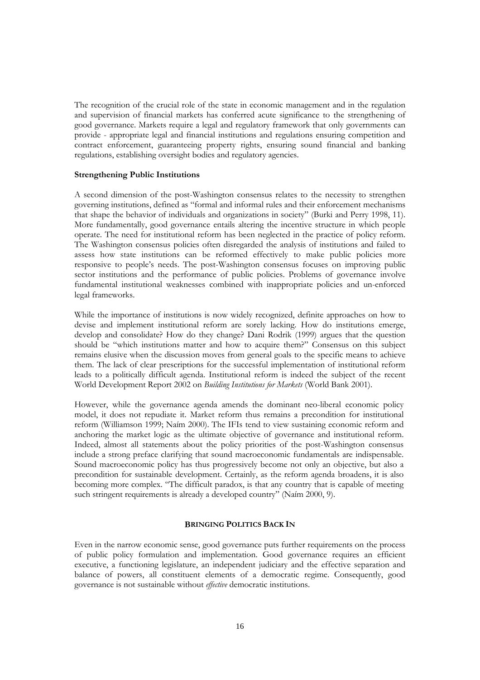The recognition of the crucial role of the state in economic management and in the regulation and supervision of financial markets has conferred acute significance to the strengthening of good governance. Markets require a legal and regulatory framework that only governments can provide - appropriate legal and financial institutions and regulations ensuring competition and contract enforcement, guaranteeing property rights, ensuring sound financial and banking regulations, establishing oversight bodies and regulatory agencies.

## **Strengthening Public Institutions**

A second dimension of the post-Washington consensus relates to the necessity to strengthen governing institutions, defined as "formal and informal rules and their enforcement mechanisms that shape the behavior of individuals and organizations in society" (Burki and Perry 1998, 11). More fundamentally, good governance entails altering the incentive structure in which people operate. The need for institutional reform has been neglected in the practice of policy reform. The Washington consensus policies often disregarded the analysis of institutions and failed to assess how state institutions can be reformed effectively to make public policies more responsive to people's needs. The post-Washington consensus focuses on improving public sector institutions and the performance of public policies. Problems of governance involve fundamental institutional weaknesses combined with inappropriate policies and un-enforced legal frameworks.

While the importance of institutions is now widely recognized, definite approaches on how to devise and implement institutional reform are sorely lacking. How do institutions emerge, develop and consolidate? How do they change? Dani Rodrik (1999) argues that the question should be "which institutions matter and how to acquire them?" Consensus on this subject remains elusive when the discussion moves from general goals to the specific means to achieve them. The lack of clear prescriptions for the successful implementation of institutional reform leads to a politically difficult agenda. Institutional reform is indeed the subject of the recent World Development Report 2002 on *Building Institutions for Markets* (World Bank 2001).

However, while the governance agenda amends the dominant neo-liberal economic policy model, it does not repudiate it. Market reform thus remains a precondition for institutional reform (Williamson 1999; Naím 2000). The IFIs tend to view sustaining economic reform and anchoring the market logic as the ultimate objective of governance and institutional reform. Indeed, almost all statements about the policy priorities of the post-Washington consensus include a strong preface clarifying that sound macroeconomic fundamentals are indispensable. Sound macroeconomic policy has thus progressively become not only an objective, but also a precondition for sustainable development. Certainly, as the reform agenda broadens, it is also becoming more complex. "The difficult paradox, is that any country that is capable of meeting such stringent requirements is already a developed country" (Naím 2000, 9).

## **BRINGING POLITICS BACK IN**

Even in the narrow economic sense, good governance puts further requirements on the process of public policy formulation and implementation. Good governance requires an efficient executive, a functioning legislature, an independent judiciary and the effective separation and balance of powers, all constituent elements of a democratic regime. Consequently, good governance is not sustainable without *effective* democratic institutions.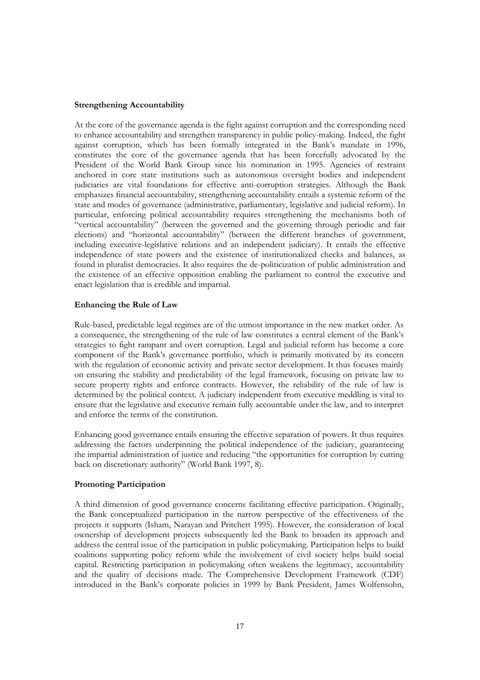## **Strengthening Accountability**

At the core of the governance agenda is the fight against corruption and the corresponding need to enhance accountability and strengthen transparency in public policy-making. Indeed, the fight against corruption, which has been formally integrated in the Bank's mandate in 1996, constitutes the core of the governance agenda that has been forcefully advocated by the President of the World Bank Group since his nomination in 1995. Agencies of restraint anchored in core state institutions such as autonomous oversight bodies and independent judiciaries are vital foundations for effective anti-corruption strategies. Although the Bank emphasizes financial accountability, strengthening accountability entails a systemic reform of the state and modes of governance (administrative, parliamentary, legislative and judicial reform). In particular, enforcing political accountability requires strengthening the mechanisms both of "vertical accountability" (between the governed and the governing through periodic and fair elections) and "horizontal accountability" (between the different branches of government, including executive-legislative relations and an independent judiciary). It entails the effective independence of state powers and the existence of institutionalized checks and balances, as found in pluralist democracies. It also requires the de-politicization of public administration and the existence of an effective opposition enabling the parliament to control the executive and enact legislation that is credible and impartial.

## **Enhancing the Rule of Law**

Rule-based, predictable legal regimes are of the utmost importance in the new market order. As a consequence, the strengthening of the rule of law constitutes a central element of the Bank's strategies to fight rampant and overt corruption. Legal and judicial reform has become a core component of the Bank's governance portfolio, which is primarily motivated by its concern with the regulation of economic activity and private sector development. It thus focuses mainly on ensuring the stability and predictability of the legal framework, focusing on private law to secure property rights and enforce contracts. However, the reliability of the rule of law is determined by the political context. A judiciary independent from executive meddling is vital to ensure that the legislative and executive remain fully accountable under the law, and to interpret and enforce the terms of the constitution.

Enhancing good governance entails ensuring the effective separation of powers. It thus requires addressing the factors underpinning the political independence of the judiciary, guaranteeing the impartial administration of justice and reducing "the opportunities for corruption by cutting back on discretionary authority" (World Bank 1997, 8).

## **Promoting Participation**

A third dimension of good governance concerns facilitating effective participation. Originally, the Bank conceptualized participation in the narrow perspective of the effectiveness of the projects it supports (Isham, Narayan and Pritchett 1995). However, the consideration of local ownership of development projects subsequently led the Bank to broaden its approach and address the central issue of the participation in public policymaking. Participation helps to build coalitions supporting policy reform while the involvement of civil society helps build social capital. Restricting participation in policymaking often weakens the legitimacy, accountability and the quality of decisions made. The Comprehensive Development Framework (CDF) introduced in the Bank's corporate policies in 1999 by Bank President, James Wolfensohn,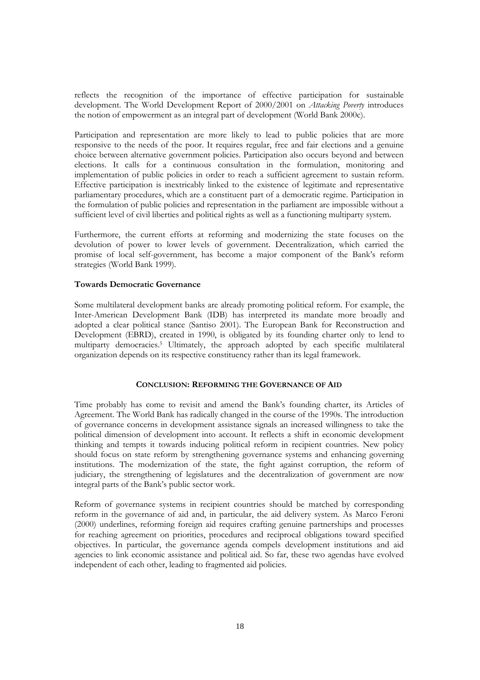reflects the recognition of the importance of effective participation for sustainable development. The World Development Report of 2000/2001 on *Attacking Poverty* introduces the notion of empowerment as an integral part of development (World Bank 2000c).

Participation and representation are more likely to lead to public policies that are more responsive to the needs of the poor. It requires regular, free and fair elections and a genuine choice between alternative government policies. Participation also occurs beyond and between elections. It calls for a continuous consultation in the formulation, monitoring and implementation of public policies in order to reach a sufficient agreement to sustain reform. Effective participation is inextricably linked to the existence of legitimate and representative parliamentary procedures, which are a constituent part of a democratic regime. Participation in the formulation of public policies and representation in the parliament are impossible without a sufficient level of civil liberties and political rights as well as a functioning multiparty system.

Furthermore, the current efforts at reforming and modernizing the state focuses on the devolution of power to lower levels of government. Decentralization, which carried the promise of local self-government, has become a major component of the Bank's reform strategies (World Bank 1999).

## **Towards Democratic Governance**

Some multilateral development banks are already promoting political reform. For example, the Inter-American Development Bank (IDB) has interpreted its mandate more broadly and adopted a clear political stance (Santiso 2001). The European Bank for Reconstruction and Development (EBRD), created in 1990, is obligated by its founding charter only to lend to multiparty democracies.5 Ultimately, the approach adopted by each specific multilateral organization depends on its respective constituency rather than its legal framework.

## **CONCLUSION: REFORMING THE GOVERNANCE OF AID**

Time probably has come to revisit and amend the Bank's founding charter, its Articles of Agreement. The World Bank has radically changed in the course of the 1990s. The introduction of governance concerns in development assistance signals an increased willingness to take the political dimension of development into account. It reflects a shift in economic development thinking and tempts it towards inducing political reform in recipient countries. New policy should focus on state reform by strengthening governance systems and enhancing governing institutions. The modernization of the state, the fight against corruption, the reform of judiciary, the strengthening of legislatures and the decentralization of government are now integral parts of the Bank's public sector work.

Reform of governance systems in recipient countries should be matched by corresponding reform in the governance of aid and, in particular, the aid delivery system. As Marco Feroni (2000) underlines, reforming foreign aid requires crafting genuine partnerships and processes for reaching agreement on priorities, procedures and reciprocal obligations toward specified objectives. In particular, the governance agenda compels development institutions and aid agencies to link economic assistance and political aid. So far, these two agendas have evolved independent of each other, leading to fragmented aid policies.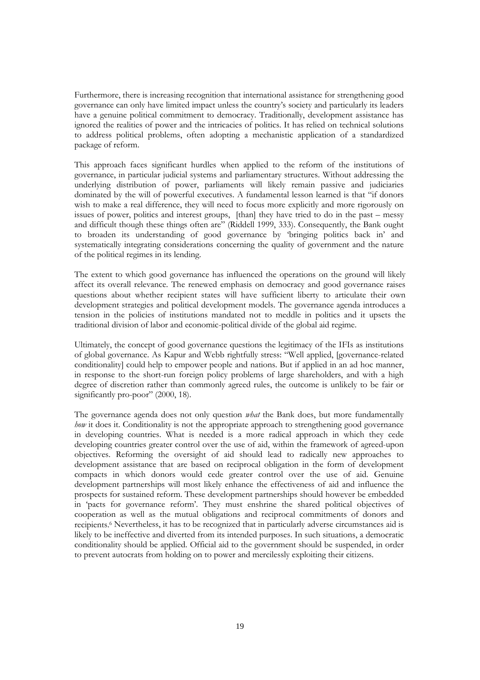Furthermore, there is increasing recognition that international assistance for strengthening good governance can only have limited impact unless the country's society and particularly its leaders have a genuine political commitment to democracy. Traditionally, development assistance has ignored the realities of power and the intricacies of politics. It has relied on technical solutions to address political problems, often adopting a mechanistic application of a standardized package of reform.

This approach faces significant hurdles when applied to the reform of the institutions of governance, in particular judicial systems and parliamentary structures. Without addressing the underlying distribution of power, parliaments will likely remain passive and judiciaries dominated by the will of powerful executives. A fundamental lesson learned is that "if donors wish to make a real difference, they will need to focus more explicitly and more rigorously on issues of power, politics and interest groups, [than] they have tried to do in the past – messy and difficult though these things often are" (Riddell 1999, 333). Consequently, the Bank ought to broaden its understanding of good governance by 'bringing politics back in' and systematically integrating considerations concerning the quality of government and the nature of the political regimes in its lending.

The extent to which good governance has influenced the operations on the ground will likely affect its overall relevance. The renewed emphasis on democracy and good governance raises questions about whether recipient states will have sufficient liberty to articulate their own development strategies and political development models. The governance agenda introduces a tension in the policies of institutions mandated not to meddle in politics and it upsets the traditional division of labor and economic-political divide of the global aid regime.

Ultimately, the concept of good governance questions the legitimacy of the IFIs as institutions of global governance. As Kapur and Webb rightfully stress: "Well applied, [governance-related conditionality] could help to empower people and nations. But if applied in an ad hoc manner, in response to the short-run foreign policy problems of large shareholders, and with a high degree of discretion rather than commonly agreed rules, the outcome is unlikely to be fair or significantly pro-poor" (2000, 18).

The governance agenda does not only question *what* the Bank does, but more fundamentally *how* it does it. Conditionality is not the appropriate approach to strengthening good governance in developing countries. What is needed is a more radical approach in which they cede developing countries greater control over the use of aid, within the framework of agreed-upon objectives. Reforming the oversight of aid should lead to radically new approaches to development assistance that are based on reciprocal obligation in the form of development compacts in which donors would cede greater control over the use of aid. Genuine development partnerships will most likely enhance the effectiveness of aid and influence the prospects for sustained reform. These development partnerships should however be embedded in 'pacts for governance reform'. They must enshrine the shared political objectives of cooperation as well as the mutual obligations and reciprocal commitments of donors and recipients.6 Nevertheless, it has to be recognized that in particularly adverse circumstances aid is likely to be ineffective and diverted from its intended purposes. In such situations, a democratic conditionality should be applied. Official aid to the government should be suspended, in order to prevent autocrats from holding on to power and mercilessly exploiting their citizens.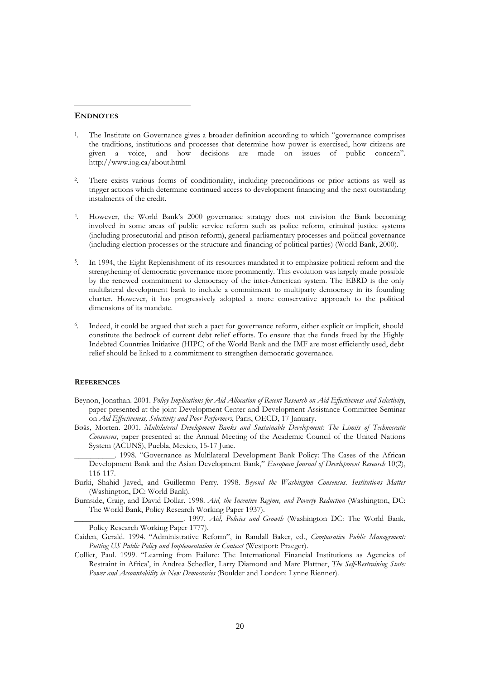#### **ENDNOTES**

 $\overline{a}$ 

- 1. The Institute on Governance gives a broader definition according to which "governance comprises the traditions, institutions and processes that determine how power is exercised, how citizens are given a voice, and how decisions are made on issues of public concern". http://www.iog.ca/about.html
- There exists various forms of conditionality, including preconditions or prior actions as well as trigger actions which determine continued access to development financing and the next outstanding instalments of the credit.
- 4. However, the World Bank's 2000 governance strategy does not envision the Bank becoming involved in some areas of public service reform such as police reform, criminal justice systems (including prosecutorial and prison reform), general parliamentary processes and political governance (including election processes or the structure and financing of political parties) (World Bank, 2000).
- 5. In 1994, the Eight Replenishment of its resources mandated it to emphasize political reform and the strengthening of democratic governance more prominently. This evolution was largely made possible by the renewed commitment to democracy of the inter-American system. The EBRD is the only multilateral development bank to include a commitment to multiparty democracy in its founding charter. However, it has progressively adopted a more conservative approach to the political dimensions of its mandate.
- Indeed, it could be argued that such a pact for governance reform, either explicit or implicit, should constitute the bedrock of current debt relief efforts. To ensure that the funds freed by the Highly Indebted Countries Initiative (HIPC) of the World Bank and the IMF are most efficiently used, debt relief should be linked to a commitment to strengthen democratic governance.

#### **REFERENCES**

- Beynon, Jonathan. 2001. *Policy Implications for Aid Allocation of Recent Research on Aid Effectiveness and Selectivity*, paper presented at the joint Development Center and Development Assistance Committee Seminar on *Aid Effectiveness, Selectivity and Poor Performers*, Paris, OECD, 17 January.
- Bøås, Morten. 2001. *Multilateral Development Banks and Sustainable Development: The Limits of Technocratic Consensus*, paper presented at the Annual Meeting of the Academic Council of the United Nations System (ACUNS), Puebla, Mexico, 15-17 June.
- \_\_\_\_\_\_\_\_\_\_. 1998. "Governance as Multilateral Development Bank Policy: The Cases of the African Development Bank and the Asian Development Bank," *European Journal of Development Research* 10(2), 116-117.
- Burki, Shahid Javed, and Guillermo Perry*.* 1998. *Beyond the Washington Consensus. Institutions Matter* (Washington, DC: World Bank).
- Burnside, Craig, and David Dollar. 1998. *Aid, the Incentive Regime, and Poverty Reduction* (Washington, DC: The World Bank, Policy Research Working Paper 1937).

\_\_\_\_\_\_\_\_\_\_\_\_\_\_\_\_\_\_\_\_\_\_\_\_\_\_\_. 1997. *Aid, Policies and Growth* (Washington DC: The World Bank, Policy Research Working Paper 1777).

- Caiden, Gerald. 1994. "Administrative Reform", in Randall Baker, ed., *Comparative Public Management: Putting US Public Policy and Implementation in Context* (Westport: Praeger).
- Collier, Paul. 1999. "Learning from Failure: The International Financial Institutions as Agencies of Restraint in Africa', in Andrea Schedler, Larry Diamond and Marc Plattner, *The Self-Restraining State: Power and Accountability in New Democracies* (Boulder and London: Lynne Rienner).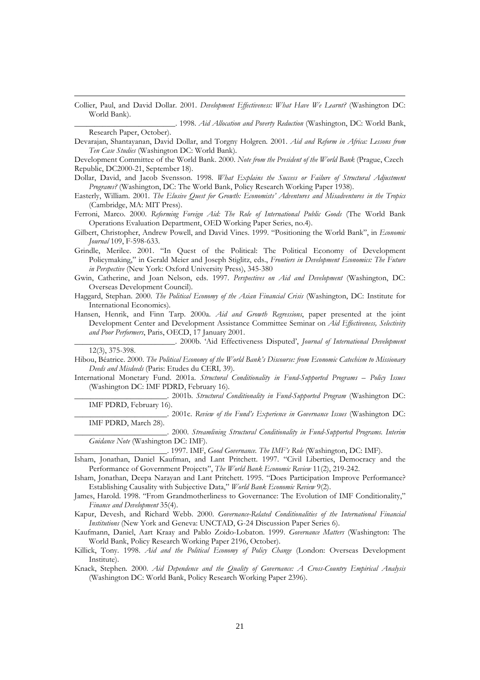Collier, Paul, and David Dollar. 2001. *Development Effectiveness: What Have We Learnt?* (Washington DC: World Bank).

**\_\_\_\_\_\_\_\_\_\_\_\_\_\_\_\_\_\_\_\_\_\_\_\_\_**. 1998. *Aid Allocation and Poverty Reduction* (Washington, DC: World Bank, Research Paper, October).

Development Committee of the World Bank. 2000. *Note from the President of the World Bank* (Prague, Czech Republic, DC2000-21, September 18).

Dollar, David, and Jacob Svensson. 1998. *What Explains the Success or Failure of Structural Adjustment Programs?* (Washington, DC: The World Bank, Policy Research Working Paper 1938).

Easterly, William. 2001. *The Elusive Quest for Growth: Economists' Adventures and Misadventures in the Tropics* (Cambridge, MA: MIT Press).

Ferroni, Marco. 2000. *Reforming Foreign Aid: The Role of International Public Goods* (The World Bank Operations Evaluation Department, OED Working Paper Series, no.4).

Gilbert, Christopher, Andrew Powell, and David Vines. 1999. "Positioning the World Bank", in *Economic Journal* 109, F-598-633.

Grindle, Merilee. 2001. "In Quest of the Political: The Political Economy of Development Policymaking," in Gerald Meier and Joseph Stiglitz, eds., *Frontiers in Development Economics: The Future in Perspective* (New York: Oxford University Press), 345-380

Gwin, Catherine, and Joan Nelson, eds. 1997. *Perspectives on Aid and Development* (Washington, DC: Overseas Development Council).

Haggard, Stephan. 2000. *The Political Economy of the Asian Financial Crisis* (Washington, DC: Institute for International Economics).

Hansen, Henrik, and Finn Tarp. 2000a. *Aid and Growth Regressions*, paper presented at the joint Development Center and Development Assistance Committee Seminar on *Aid Effectiveness, Selectivity and Poor Performers*, Paris, OECD, 17 January 2001.

\_\_\_\_\_\_\_\_\_\_\_\_\_\_\_\_\_\_\_\_\_\_\_\_\_. 2000b. 'Aid Effectiveness Disputed', *Journal of International Development* 12(3), 375-398.

Hibou, Béatrice. 2000. *The Political Economy of the World Bank's Discourse: from Economic Catechism to Missionary Deeds and Misdeeds* (Paris: Etudes du CERI*,* 39).

International Monetary Fund. 2001a. *Structural Conditionality in Fund-Supported Programs – Policy Issues* (Washington DC: IMF PDRD, February 16).

\_\_\_\_\_\_\_\_\_\_\_\_\_\_\_\_\_\_\_\_\_\_\_. 2001b. *Structural Conditionality in Fund-Supported Program* (Washington DC: IMF PDRD, February 16).

\_\_\_\_\_\_\_\_\_\_\_\_\_\_\_\_\_\_\_\_\_\_\_. 2001c. *Review of the Fund's Experience in Governance Issues* (Washington DC: IMF PDRD, March 28).

\_\_\_\_\_\_\_\_\_\_\_\_\_\_\_\_\_\_\_\_\_\_\_. 2000. *Streamlining Structural Conditionality in Fund-Supported Programs. Interim Guidance Note* (Washington DC: IMF).

\_\_\_\_\_\_\_\_\_\_\_\_\_\_\_\_\_\_\_\_\_\_\_. 1997. IMF, *Good Governance. The IMF's Role* (Washington, DC: IMF).

Isham, Jonathan, Daniel Kaufman, and Lant Pritchett. 1997. "Civil Liberties, Democracy and the Performance of Government Projects", *The World Bank Economic Review* 11(2), 219-242.

Isham, Jonathan, Deepa Narayan and Lant Pritchett. 1995. "Does Participation Improve Performance? Establishing Causality with Subjective Data," *World Bank Economic Review* 9(2).

Kapur, Devesh, and Richard Webb. 2000. *Governance-Related Conditionalities of the International Financial Institutions* (New York and Geneva: UNCTAD, G-24 Discussion Paper Series 6).

Kaufmann, Daniel, Aart Kraay and Pablo Zoido-Lobaton. 1999. *Governance Matters* (Washington: The World Bank, Policy Research Working Paper 2196, October).

Knack, Stephen*.* 2000. *Aid Dependence and the Quality of Governance: A Cross-Country Empirical Analysis* (Washington DC: World Bank, Policy Research Working Paper 2396).

Devarajan, Shantayanan, David Dollar, and Torgny Holgren*.* 2001. *Aid and Reform in Africa: Lessons from Ten Case Studies* (Washington DC: World Bank).

James, Harold. 1998. "From Grandmotherliness to Governance: The Evolution of IMF Conditionality," *Finance and Development* 35(4).

Killick, Tony*.* 1998. *Aid and the Political Economy of Policy Change* (London: Overseas Development Institute).